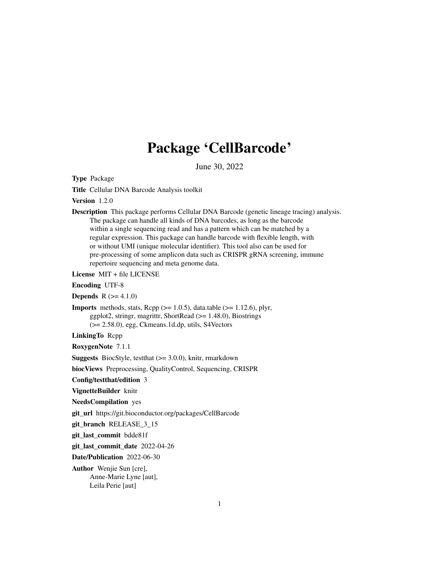# Package 'CellBarcode'

June 30, 2022

<span id="page-0-0"></span>Type Package

Title Cellular DNA Barcode Analysis toolkit

Version 1.2.0

Description This package performs Cellular DNA Barcode (genetic lineage tracing) analysis. The package can handle all kinds of DNA barcodes, as long as the barcode within a single sequencing read and has a pattern which can be matched by a regular expression. This package can handle barcode with flexible length, with or without UMI (unique molecular identifier). This tool also can be used for pre-processing of some amplicon data such as CRISPR gRNA screening, immune repertoire sequencing and meta genome data.

License MIT + file LICENSE

Encoding UTF-8

**Depends**  $R (= 4.1.0)$ 

**Imports** methods, stats,  $\text{Rcpp}$  ( $>= 1.0.5$ ), data.table ( $>= 1.12.6$ ), plyr, ggplot2, stringr, magrittr, ShortRead  $(>= 1.48.0)$ , Biostrings (>= 2.58.0), egg, Ckmeans.1d.dp, utils, S4Vectors

LinkingTo Rcpp

RoxygenNote 7.1.1

Suggests BiocStyle, testthat (>= 3.0.0), knitr, rmarkdown

biocViews Preprocessing, QualityControl, Sequencing, CRISPR

Config/testthat/edition 3

VignetteBuilder knitr

NeedsCompilation yes

git\_url https://git.bioconductor.org/packages/CellBarcode

git\_branch RELEASE\_3\_15

git\_last\_commit bdde81f

git\_last\_commit\_date 2022-04-26

Date/Publication 2022-06-30

Author Wenjie Sun [cre], Anne-Marie Lyne [aut],

Leila Perie [aut]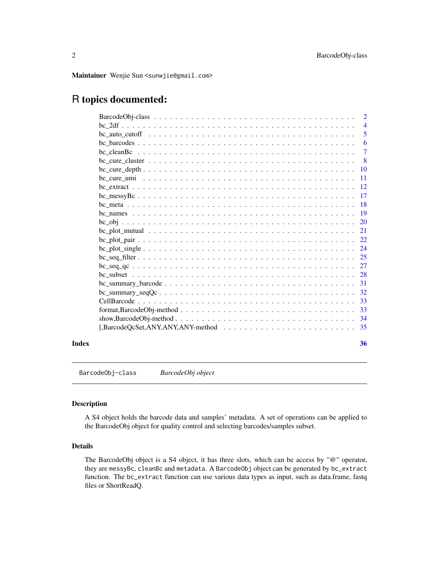<span id="page-1-0"></span>Maintainer Wenjie Sun <sunwjie@gmail.com>

# R topics documented:

|       |               | 2              |
|-------|---------------|----------------|
|       |               | $\overline{4}$ |
|       |               | 5              |
|       |               | 6              |
|       |               | $\tau$         |
|       |               | -8             |
|       |               | 10             |
|       |               | <b>11</b>      |
|       |               | 12             |
|       |               | -17            |
|       |               | 18             |
|       |               | 19             |
|       |               | <b>20</b>      |
|       |               | 21             |
|       |               | 22             |
|       |               | 24             |
|       |               | 25             |
|       | $bc\_seq\_qc$ | 27             |
|       |               | 28             |
|       |               | 31             |
|       |               | 32             |
|       |               | 33             |
|       |               | 33             |
|       |               | 34             |
|       |               | 35             |
| Index |               | 36             |

BarcodeObj-class *BarcodeObj object*

# <span id="page-1-1"></span>Description

A S4 object holds the barcode data and samples' metadata. A set of operations can be applied to the BarcodeObj object for quality control and selecting barcodes/samples subset.

# Details

The BarcodeObj object is a S4 object, it has three slots, which can be access by "@" operator, they are messyBc, cleanBc and metadata. A BarcodeObj object can be generated by bc\_extract function. The bc\_extract function can use various data types as input, such as data.frame, fastq files or ShortReadQ.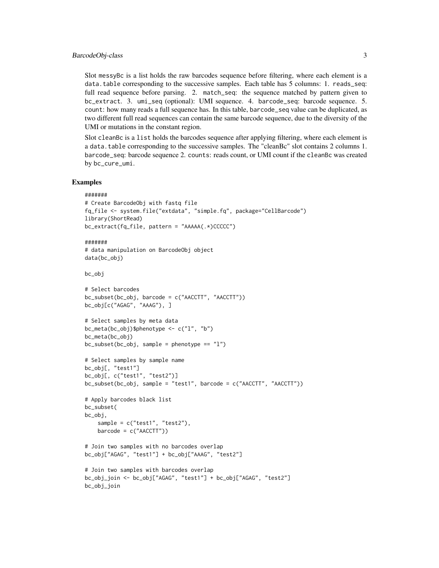Slot messyBc is a list holds the raw barcodes sequence before filtering, where each element is a data.table corresponding to the successive samples. Each table has 5 columns: 1. reads\_seq: full read sequence before parsing. 2. match\_seq: the sequence matched by pattern given to bc\_extract. 3. umi\_seq (optional): UMI sequence. 4. barcode\_seq: barcode sequence. 5. count: how many reads a full sequence has. In this table, barcode\_seq value can be duplicated, as two different full read sequences can contain the same barcode sequence, due to the diversity of the UMI or mutations in the constant region.

Slot cleanBc is a list holds the barcodes sequence after applying filtering, where each element is a data.table corresponding to the successive samples. The "cleanBc" slot contains 2 columns 1. barcode\_seq: barcode sequence 2. counts: reads count, or UMI count if the cleanBc was created by bc\_cure\_umi.

#### Examples

```
#######
# Create BarcodeObj with fastq file
fq_file <- system.file("extdata", "simple.fq", package="CellBarcode")
library(ShortRead)
bc_extract(fq_file, pattern = "AAAAA(.*)CCCCC")
```
#### #######

```
# data manipulation on BarcodeObj object
data(bc_obj)
```
bc\_obj

```
# Select barcodes
bc\_subset(bc\_obj, barcode = c("AACCTT", "AACCTT"))bc_obj[c("AGAG", "AAAG"), ]
```

```
# Select samples by meta data
bc_meta(bc_obj)$phenotype <- c("l", "b")
bc_meta(bc_obj)
bc\_subset(bc\_obj, sample = phenotype == "l")
```

```
# Select samples by sample name
bc_obj[, "test1"]
bc_obj[, c("test1", "test2")]
bc_subset(bc_obj, sample = "test1", barcode = c("AACCTT", "AACCTT"))
```

```
# Apply barcodes black list
bc_subset(
bc_obj,
    sample = c("test1", "test2"),
   barcode = c('AACCTT''))
```

```
# Join two samples with no barcodes overlap
bc_obj["AGAG", "test1"] + bc_obj["AAAG", "test2"]
```

```
# Join two samples with barcodes overlap
bc_obj_join <- bc_obj["AGAG", "test1"] + bc_obj["AGAG", "test2"]
bc_obj_join
```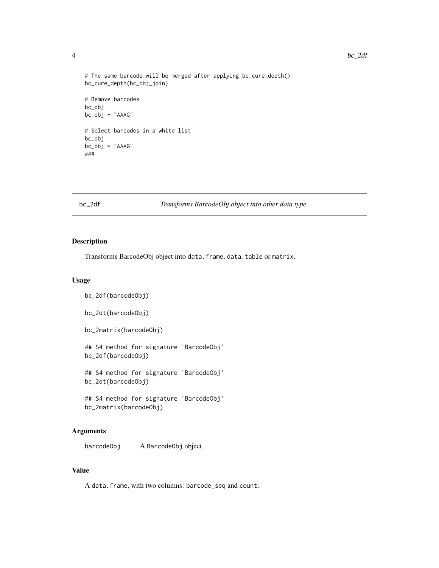#### <span id="page-3-0"></span>4 bc\_2df

```
# The same barcode will be merged after applying bc_cure_depth()
bc_cure_depth(bc_obj_join)
# Remove barcodes
bc_obj
bc_obj - "AAAG"
# Select barcodes in a white list
bc_obj
bc_obj * "AAAG"
###
```
# bc\_2df *Transforms BarcodeObj object into other data type*

#### Description

Transforms BarcodeObj object into data.frame, data.table or matrix.

# Usage

```
bc_2df(barcodeObj)
bc_2dt(barcodeObj)
bc_2matrix(barcodeObj)
## S4 method for signature 'BarcodeObj'
bc_2df(barcodeObj)
## S4 method for signature 'BarcodeObj'
bc_2dt(barcodeObj)
## S4 method for signature 'BarcodeObj'
bc_2matrix(barcodeObj)
```
# Arguments

barcodeObj A BarcodeObj object.

# Value

A data.frame, with two columns: barcode\_seq and count.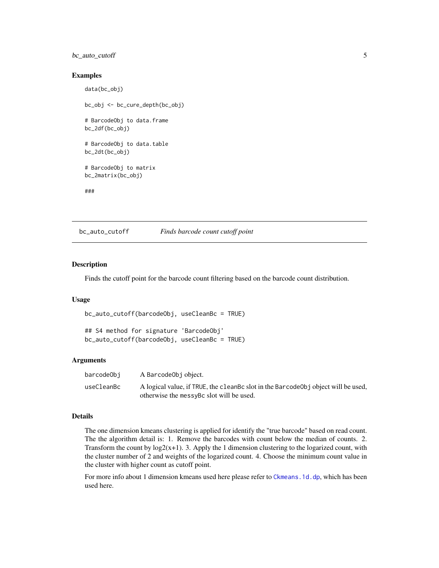# <span id="page-4-0"></span>bc\_auto\_cutoff 5

#### Examples

```
data(bc_obj)
bc_obj <- bc_cure_depth(bc_obj)
# BarcodeObj to data.frame
bc_2df(bc_obj)
# BarcodeObj to data.table
bc_2dt(bc_obj)
# BarcodeObj to matrix
bc_2matrix(bc_obj)
###
```
<span id="page-4-1"></span>bc\_auto\_cutoff *Finds barcode count cutoff point*

# Description

Finds the cutoff point for the barcode count filtering based on the barcode count distribution.

#### Usage

```
bc_auto_cutoff(barcodeObj, useCleanBc = TRUE)
```

```
## S4 method for signature 'BarcodeObj'
bc_auto_cutoff(barcodeObj, useCleanBc = TRUE)
```
#### Arguments

| barcodeObi | A Barcode0b i object.                                                             |
|------------|-----------------------------------------------------------------------------------|
| useCleanBc | A logical value, if TRUE, the cleanBc slot in the BarcodeObj object will be used. |
|            | otherwise the messyBc slot will be used.                                          |

#### Details

The one dimension kmeans clustering is applied for identify the "true barcode" based on read count. The the algorithm detail is: 1. Remove the barcodes with count below the median of counts. 2. Transform the count by  $log2(x+1)$ . 3. Apply the 1 dimension clustering to the logarized count, with the cluster number of 2 and weights of the logarized count. 4. Choose the minimum count value in the cluster with higher count as cutoff point.

For more info about 1 dimension kmeans used here please refer to Ckmeans. 1d. dp, which has been used here.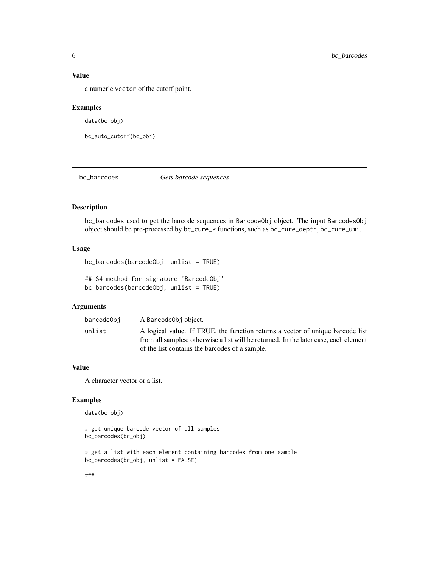#### <span id="page-5-0"></span>Value

a numeric vector of the cutoff point.

#### Examples

```
data(bc_obj)
```

```
bc_auto_cutoff(bc_obj)
```
bc\_barcodes *Gets barcode sequences*

# Description

bc\_barcodes used to get the barcode sequences in BarcodeObj object. The input BarcodesObj object should be pre-processed by bc\_cure\_\* functions, such as bc\_cure\_depth, bc\_cure\_umi.

# Usage

bc\_barcodes(barcodeObj, unlist = TRUE)

```
## S4 method for signature 'BarcodeObj'
bc_barcodes(barcodeObj, unlist = TRUE)
```
#### Arguments

| barcodeObi | A Barcode0bj object.                                                                                                                                                                                                     |
|------------|--------------------------------------------------------------------------------------------------------------------------------------------------------------------------------------------------------------------------|
| unlist     | A logical value. If TRUE, the function returns a vector of unique barcode list<br>from all samples; otherwise a list will be returned. In the later case, each element<br>of the list contains the barcodes of a sample. |
|            |                                                                                                                                                                                                                          |

# Value

A character vector or a list.

### Examples

```
data(bc_obj)
```
# get unique barcode vector of all samples bc\_barcodes(bc\_obj)

```
# get a list with each element containing barcodes from one sample
bc_barcodes(bc_obj, unlist = FALSE)
```
###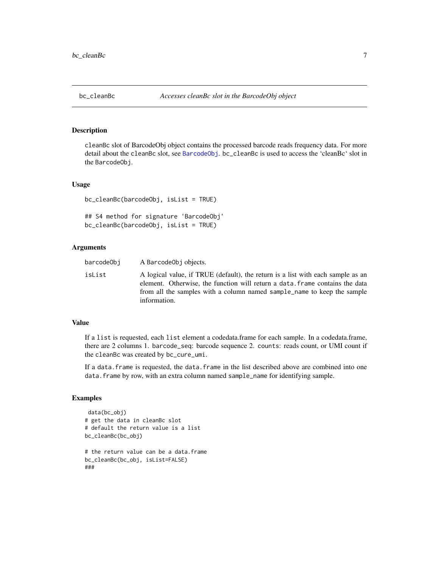<span id="page-6-0"></span>

# Description

cleanBc slot of BarcodeObj object contains the processed barcode reads frequency data. For more detail about the cleanBc slot, see [BarcodeObj](#page-1-1). bc\_cleanBc is used to access the 'cleanBc' slot in the BarcodeObj.

#### Usage

```
bc_cleanBc(barcodeObj, isList = TRUE)
## S4 method for signature 'BarcodeObj'
bc_cleanBc(barcodeObj, isList = TRUE)
```
#### Arguments

| barcodeObi | A Barcode0b i objects.                                                                                                                                                                                                                                     |
|------------|------------------------------------------------------------------------------------------------------------------------------------------------------------------------------------------------------------------------------------------------------------|
| isList     | A logical value, if TRUE (default), the return is a list with each sample as an<br>element. Otherwise, the function will return a data, frame contains the data<br>from all the samples with a column named sample name to keep the sample<br>information. |
|            |                                                                                                                                                                                                                                                            |

#### Value

If a list is requested, each list element a codedata.frame for each sample. In a codedata.frame, there are 2 columns 1. barcode\_seq: barcode sequence 2. counts: reads count, or UMI count if the cleanBc was created by bc\_cure\_umi.

If a data. frame is requested, the data. frame in the list described above are combined into one data. frame by row, with an extra column named sample\_name for identifying sample.

# Examples

```
data(bc_obj)
# get the data in cleanBc slot
# default the return value is a list
bc_cleanBc(bc_obj)
# the return value can be a data.frame
bc_cleanBc(bc_obj, isList=FALSE)
###
```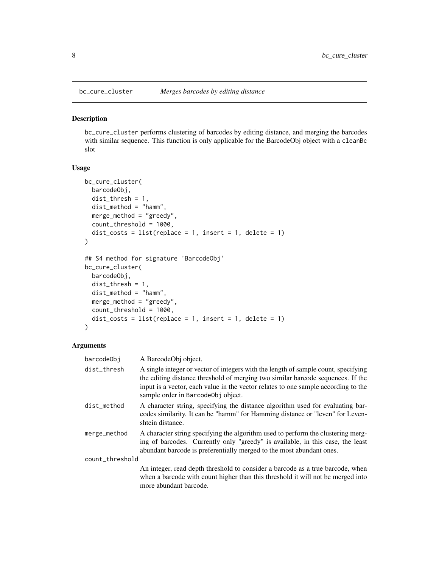<span id="page-7-0"></span>

# Description

bc\_cure\_cluster performs clustering of barcodes by editing distance, and merging the barcodes with similar sequence. This function is only applicable for the BarcodeObj object with a cleanBc slot

#### Usage

```
bc_cure_cluster(
 barcodeObj,
  dist_{th}resh = 1,
 dist_method = "hamm",
 merge_method = "greedy",
  count_threshold = 1000,
  dist_costs = list(replace = 1, insert = 1, delete = 1)
\mathcal{L}## S4 method for signature 'BarcodeObj'
bc_cure_cluster(
  barcodeObj,
 dist_thresh = 1,
  dist_method = "hamm",
 merge_method = "greedy",
  count_threshold = 1000,
  dist_costs = list(replace = 1, insert = 1, delete = 1)
)
```
#### Arguments

| barcodeObj      | A BarcodeObj object.                                                                                                                                                                                                                                                                              |
|-----------------|---------------------------------------------------------------------------------------------------------------------------------------------------------------------------------------------------------------------------------------------------------------------------------------------------|
| dist_thresh     | A single integer or vector of integers with the length of sample count, specifying<br>the editing distance threshold of merging two similar barcode sequences. If the<br>input is a vector, each value in the vector relates to one sample according to the<br>sample order in Barcode0bj object. |
| dist_method     | A character string, specifying the distance algorithm used for evaluating bar-<br>codes similarity. It can be "hamm" for Hamming distance or "leven" for Leven-<br>shtein distance.                                                                                                               |
| merge_method    | A character string specifying the algorithm used to perform the clustering merg-<br>ing of barcodes. Currently only "greedy" is available, in this case, the least<br>abundant barcode is preferentially merged to the most abundant ones.                                                        |
| count_threshold |                                                                                                                                                                                                                                                                                                   |
|                 | An integer, read depth threshold to consider a barcode as a true barcode, when<br>when a barcode with count higher than this threshold it will not be merged into<br>more abundant barcode.                                                                                                       |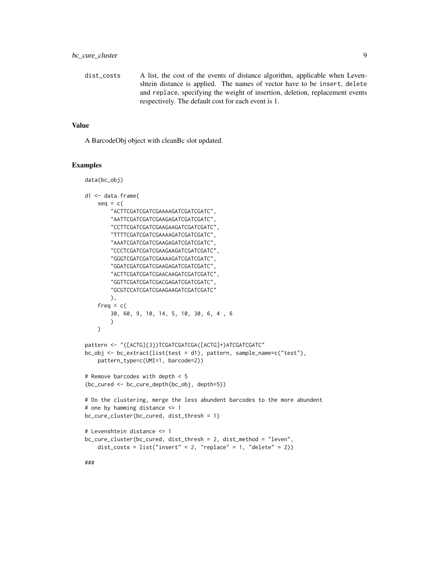dist\_costs A list, the cost of the events of distance algorithm, applicable when Levenshtein distance is applied. The names of vector have to be insert, delete and replace, specifying the weight of insertion, deletion, replacement events respectively. The default cost for each event is 1.

# Value

A BarcodeObj object with cleanBc slot updated.

# Examples

```
data(bc_obj)
d1 <- data.frame(
    seq = c("ACTTCGATCGATCGAAAAGATCGATCGATC",
        "AATTCGATCGATCGAAGAGATCGATCGATC",
        "CCTTCGATCGATCGAAGAAGATCGATCGATC",
        "TTTTCGATCGATCGAAAAGATCGATCGATC",
        "AAATCGATCGATCGAAGAGATCGATCGATC",
        "CCCTCGATCGATCGAAGAAGATCGATCGATC",
        "GGGTCGATCGATCGAAAAGATCGATCGATC",
        "GGATCGATCGATCGAAGAGATCGATCGATC",
        "ACTTCGATCGATCGAACAAGATCGATCGATC",
        "GGTTCGATCGATCGACGAGATCGATCGATC",
        "GCGTCCATCGATCGAAGAAGATCGATCGATC"
        ),
    freq = c(30, 60, 9, 10, 14, 5, 10, 30, 6, 4 , 6
        )
    \lambdapattern <- "([ACTG]{3})TCGATCGATCGA([ACTG]+)ATCGATCGATC"
bc_obj <- bc_extract(list(test = d1), pattern, sample_name=c("test"),
   pattern_type=c(UMI=1, barcode=2))
# Remove barcodes with depth < 5
(bc_cured <- bc_cure_depth(bc_obj, depth=5))
# Do the clustering, merge the less abundent barcodes to the more abundent
# one by hamming distance <= 1
bc_cure_cluster(bc_cured, dist_thresh = 1)
# Levenshtein distance <= 1
bc_cure_cluster(bc_cured, dist_thresh = 2, dist_method = "leven",
   dist_costs = list("insert" = 2, "replace" = 1, "delete" = 2))
###
```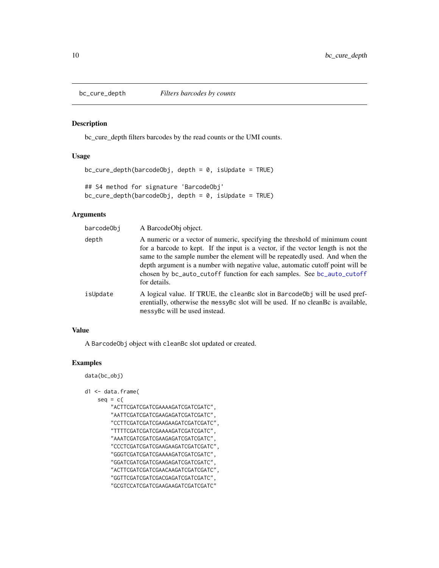<span id="page-9-1"></span><span id="page-9-0"></span>

# Description

bc\_cure\_depth filters barcodes by the read counts or the UMI counts.

## Usage

```
bc\_cure\_depth(barcodeObj, depth = 0, isUpdate = TRUE)## S4 method for signature 'BarcodeObj'
bc_cure_depth(barcodeObj, depth = 0, isUpdate = TRUE)
```
# Arguments

| barcode0bj | A BarcodeObj object.                                                                                                                                                                                                                                                                                                                                                                                                       |
|------------|----------------------------------------------------------------------------------------------------------------------------------------------------------------------------------------------------------------------------------------------------------------------------------------------------------------------------------------------------------------------------------------------------------------------------|
| depth      | A numeric or a vector of numeric, specifying the threshold of minimum count<br>for a barcode to kept. If the input is a vector, if the vector length is not the<br>same to the sample number the element will be repeatedly used. And when the<br>depth argument is a number with negative value, automatic cutoff point will be<br>chosen by bc_auto_cutoff function for each samples. See bc_auto_cutoff<br>for details. |
| isUpdate   | A logical value. If TRUE, the clean B c slot in Barcode Obj will be used pref-<br>erentially, otherwise the messyBc slot will be used. If no cleanBc is available,<br>messyBc will be used instead.                                                                                                                                                                                                                        |

# Value

A BarcodeObj object with cleanBc slot updated or created.

# Examples

data(bc\_obj)

```
d1 <- data.frame(
    seq = c("ACTTCGATCGATCGAAAAGATCGATCGATC",
        "AATTCGATCGATCGAAGAGATCGATCGATC",
        "CCTTCGATCGATCGAAGAAGATCGATCGATC",
        "TTTTCGATCGATCGAAAAGATCGATCGATC",
        "AAATCGATCGATCGAAGAGATCGATCGATC",
        "CCCTCGATCGATCGAAGAAGATCGATCGATC",
        "GGGTCGATCGATCGAAAAGATCGATCGATC",
        "GGATCGATCGATCGAAGAGATCGATCGATC",
        "ACTTCGATCGATCGAACAAGATCGATCGATC",
        "GGTTCGATCGATCGACGAGATCGATCGATC",
        "GCGTCCATCGATCGAAGAAGATCGATCGATC"
```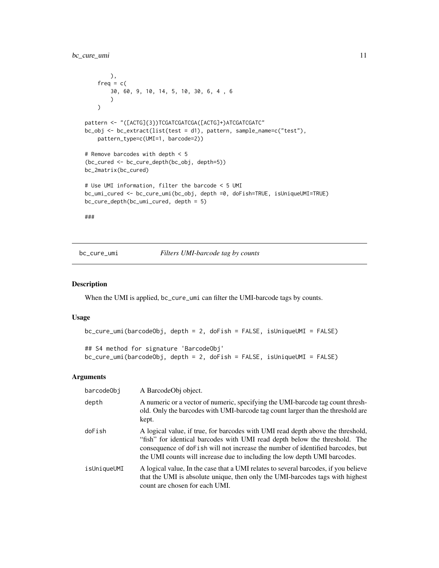```
),
    freq = c(30, 60, 9, 10, 14, 5, 10, 30, 6, 4 , 6
        \lambda\mathcal{L}pattern <- "([ACTG]{3})TCGATCGATCGA([ACTG]+)ATCGATCGATC"
bc_obj <- bc_extract(list(test = d1), pattern, sample_name=c("test"),
   pattern_type=c(UMI=1, barcode=2))
# Remove barcodes with depth < 5
(bc_cured <- bc_cure_depth(bc_obj, depth=5))
bc_2matrix(bc_cured)
# Use UMI information, filter the barcode < 5 UMI
bc_umi_cured <- bc_cure_umi(bc_obj, depth =0, doFish=TRUE, isUniqueUMI=TRUE)
bc_cure_depth(bc_umi_cured, depth = 5)
###
```

```
bc_cure_umi Filters UMI-barcode tag by counts
```
# Description

When the UMI is applied, bc\_cure\_umi can filter the UMI-barcode tags by counts.

#### Usage

```
bc_cure_umi(barcodeObj, depth = 2, doFish = FALSE, isUniqueUMI = FALSE)
## S4 method for signature 'BarcodeObj'
bc_cure_umi(barcodeObj, depth = 2, doFish = FALSE, isUniqueUMI = FALSE)
```
#### Arguments

| barcode0bj  | A BarcodeObj object.                                                                                                                                                                                                                                                                                                          |
|-------------|-------------------------------------------------------------------------------------------------------------------------------------------------------------------------------------------------------------------------------------------------------------------------------------------------------------------------------|
| depth       | A numeric or a vector of numeric, specifying the UMI-barcode tag count thresh-<br>old. Only the barcodes with UMI-barcode tag count larger than the threshold are<br>kept.                                                                                                                                                    |
| doFish      | A logical value, if true, for barcodes with UMI read depth above the threshold,<br>"fish" for identical barcodes with UMI read depth below the threshold. The<br>consequence of do Fish will not increase the number of identified barcodes, but<br>the UMI counts will increase due to including the low depth UMI barcodes. |
| isUniqueUMI | A logical value, In the case that a UMI relates to several barcodes, if you believe<br>that the UMI is absolute unique, then only the UMI-barcodes tags with highest<br>count are chosen for each UMI.                                                                                                                        |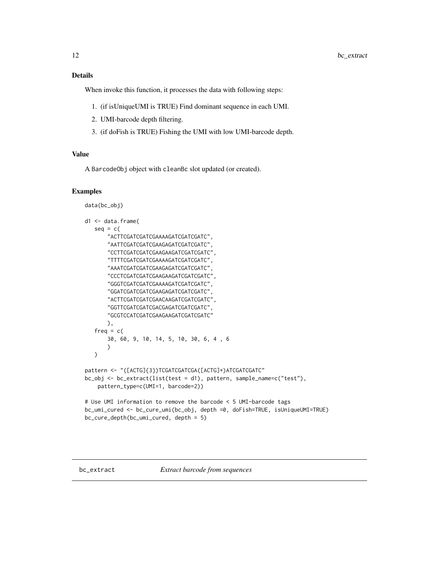<span id="page-11-0"></span>When invoke this function, it processes the data with following steps:

- 1. (if isUniqueUMI is TRUE) Find dominant sequence in each UMI.
- 2. UMI-barcode depth filtering.
- 3. (if doFish is TRUE) Fishing the UMI with low UMI-barcode depth.

# Value

A BarcodeObj object with cleanBc slot updated (or created).

#### Examples

```
data(bc_obj)
d1 <- data.frame(
   seq = c("ACTTCGATCGATCGAAAAGATCGATCGATC",
       "AATTCGATCGATCGAAGAGATCGATCGATC",
       "CCTTCGATCGATCGAAGAAGATCGATCGATC",
       "TTTTCGATCGATCGAAAAGATCGATCGATC",
       "AAATCGATCGATCGAAGAGATCGATCGATC",
       "CCCTCGATCGATCGAAGAAGATCGATCGATC",
       "GGGTCGATCGATCGAAAAGATCGATCGATC",
       "GGATCGATCGATCGAAGAGATCGATCGATC",
       "ACTTCGATCGATCGAACAAGATCGATCGATC",
       "GGTTCGATCGATCGACGAGATCGATCGATC",
       "GCGTCCATCGATCGAAGAAGATCGATCGATC"
      ),
   freq = c(30, 60, 9, 10, 14, 5, 10, 30, 6, 4 , 6
       )
  \mathcal{L}pattern <- "([ACTG]{3})TCGATCGATCGA([ACTG]+)ATCGATCGATC"
bc_obj <- bc_extract(list(test = d1), pattern, sample_name=c("test"),
   pattern_type=c(UMI=1, barcode=2))
# Use UMI information to remove the barcode < 5 UMI-barcode tags
bc_umi_cured <- bc_cure_umi(bc_obj, depth =0, doFish=TRUE, isUniqueUMI=TRUE)
bc_cure_depth(bc_umi_cured, depth = 5)
```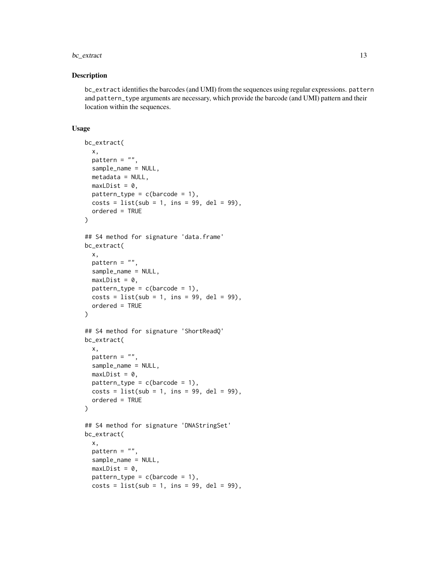# bc\_extract 13

#### Description

bc\_extract identifies the barcodes (and UMI) from the sequences using regular expressions. pattern and pattern\_type arguments are necessary, which provide the barcode (and UMI) pattern and their location within the sequences.

#### Usage

```
bc_extract(
  x,
  pattern = ",
  sample_name = NULL,
  metadata = NULL,
 maxLDist = 0,
 pattern_type = c(barcode = 1),
  costs = list(sub = 1, ins = 99, del = 99),ordered = TRUE
\lambda## S4 method for signature 'data.frame'
bc_extract(
 x,
 pattern = ",
 sample_name = NULL,
  maxLDist = 0,
 pattern_type = c(barcode = 1),
 costs = list(sub = 1, ins = 99, del = 99),
  ordered = TRUE
)
## S4 method for signature 'ShortReadQ'
bc_extract(
  x,
  pattern = ",
  sample_name = NULL,
 maxLDist = 0,
 pattern_type = c(barcode = 1),
  costs = list(sub = 1, ins = 99, del = 99),ordered = TRUE
)
## S4 method for signature 'DNAStringSet'
bc_extract(
  x,
 pattern = ",
  sample_name = NULL,
 maxLDist = 0,
  pattern_type = c(barcode = 1),costs = list(sub = 1, ins = 99, del = 99),
```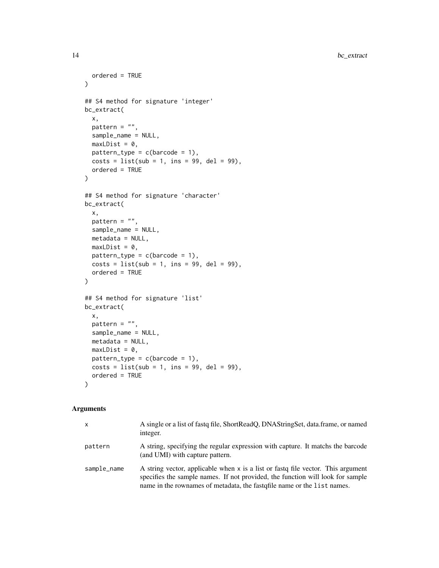```
ordered = TRUE
\lambda## S4 method for signature 'integer'
bc_extract(
 x,
 pattern = ",
 sample_name = NULL,
 maxLDist = 0,
 pattern_type = c(barcode = 1),costs = list(sub = 1, ins = 99, del = 99),ordered = TRUE
)
## S4 method for signature 'character'
bc_extract(
 x,
 pattern = ",
 sample_name = NULL,
 metadata = NULL,maxLDist = 0,
 pattern_type = c(barcode = 1),costs = list(sub = 1, ins = 99, del = 99),ordered = TRUE
\mathcal{L}## S4 method for signature 'list'
bc_extract(
 x,
 pattern = "",sample_name = NULL,
 metadata = NULL,
 maxLDist = 0,
 pattern_type = c(barcode = 1),costs = list(sub = 1, ins = 99, del = 99),ordered = TRUE
\lambda
```
# Arguments

| x           | A single or a list of fastq file, ShortReadQ, DNAStringSet, data.frame, or named<br>integer.                                                                                                                                                    |
|-------------|-------------------------------------------------------------------------------------------------------------------------------------------------------------------------------------------------------------------------------------------------|
| pattern     | A string, specifying the regular expression with capture. It matchs the barcode<br>(and UMI) with capture pattern.                                                                                                                              |
| sample_name | A string vector, applicable when x is a list or fast qfile vector. This argument<br>specifies the sample names. If not provided, the function will look for sample<br>name in the rownames of metadata, the fast quarter are or the list names. |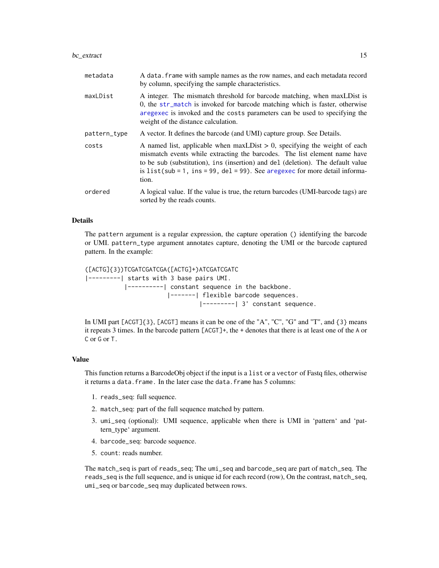# <span id="page-14-0"></span>bc\_extract 15

| metadata     | A data. frame with sample names as the row names, and each metadata record<br>by column, specifying the sample characteristics.                                                                                                                                                                                                      |
|--------------|--------------------------------------------------------------------------------------------------------------------------------------------------------------------------------------------------------------------------------------------------------------------------------------------------------------------------------------|
| maxLDist     | A integer. The mismatch threshold for barcode matching, when maxLDist is<br>0, the str_match is invoked for barcode matching which is faster, otherwise<br>aregexec is invoked and the costs parameters can be used to specifying the<br>weight of the distance calculation.                                                         |
| pattern_type | A vector. It defines the barcode (and UMI) capture group. See Details.                                                                                                                                                                                                                                                               |
| costs        | A named list, applicable when $maxLDist > 0$ , specifying the weight of each<br>mismatch events while extracting the barcodes. The list element name have<br>to be sub (substitution), ins (insertion) and del (deletion). The default value<br>is list(sub = 1, ins = 99, del = 99). See aregexec for more detail informa-<br>tion. |
| ordered      | A logical value. If the value is true, the return barcodes (UMI-barcode tags) are<br>sorted by the reads counts.                                                                                                                                                                                                                     |

# Details

The pattern argument is a regular expression, the capture operation () identifying the barcode or UMI. pattern\_type argument annotates capture, denoting the UMI or the barcode captured pattern. In the example:

([ACTG]{3})TCGATCGATCGA([ACTG]+)ATCGATCGATC |---------| starts with 3 base pairs UMI. |----------| constant sequence in the backbone. |-------| flexible barcode sequences. |---------| 3' constant sequence.

In UMI part [ACGT]{3}, [ACGT] means it can be one of the "A", "C", "G" and "T", and {3} means it repeats 3 times. In the barcode pattern [ACGT]+, the + denotes that there is at least one of the A or C or G or T.

# Value

This function returns a BarcodeObj object if the input is a list or a vector of Fastq files, otherwise it returns a data.frame. In the later case the data.frame has 5 columns:

- 1. reads\_seq: full sequence.
- 2. match\_seq: part of the full sequence matched by pattern.
- 3. umi\_seq (optional): UMI sequence, applicable when there is UMI in 'pattern' and 'pattern\_type' argument.
- 4. barcode\_seq: barcode sequence.
- 5. count: reads number.

The match\_seq is part of reads\_seq; The umi\_seq and barcode\_seq are part of match\_seq. The reads\_seq is the full sequence, and is unique id for each record (row), On the contrast, match\_seq, umi\_seq or barcode\_seq may duplicated between rows.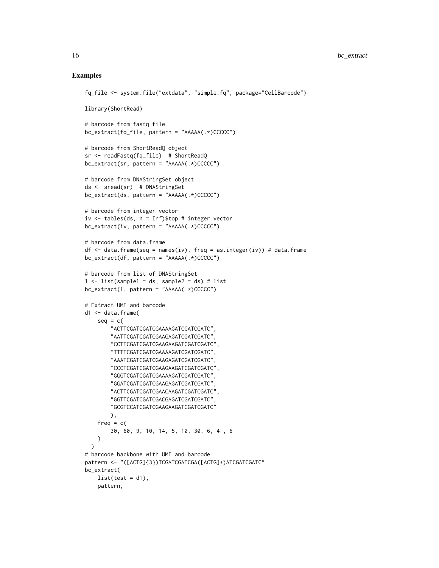#### Examples

```
fq_file <- system.file("extdata", "simple.fq", package="CellBarcode")
library(ShortRead)
# barcode from fastq file
bc_extract(fq_file, pattern = "AAAAA(.*)CCCCC")
# barcode from ShortReadQ object
sr <- readFastq(fq_file) # ShortReadQ
bc_extract(sr, pattern = "AAAAA(.*)CCCCC")
# barcode from DNAStringSet object
ds <- sread(sr) # DNAStringSet
bc_extract(ds, pattern = "AAAAA(.*)CCCCC")
# barcode from integer vector
iv \le tables(ds, n = Inf)$top # integer vector
bc_extract(iv, pattern = "AAAAA(.*)CCCCC")
# barcode from data.frame
df \leq data.frame(seq = names(iv), freq = as.integer(iv)) # data.frame
bc_extract(df, pattern = "AAAAA(.*)CCCCC")
# barcode from list of DNAStringSet
l < - list(sample1 = ds, sample2 = ds) # list
bc\_extract(1, pattern = "AAAAA(*)CCCC")# Extract UMI and barcode
d1 <- data.frame(
    seq = c("ACTTCGATCGATCGAAAAGATCGATCGATC",
        "AATTCGATCGATCGAAGAGATCGATCGATC",
        "CCTTCGATCGATCGAAGAAGATCGATCGATC",
        "TTTTCGATCGATCGAAAAGATCGATCGATC",
        "AAATCGATCGATCGAAGAGATCGATCGATC",
        "CCCTCGATCGATCGAAGAAGATCGATCGATC",
        "GGGTCGATCGATCGAAAAGATCGATCGATC",
        "GGATCGATCGATCGAAGAGATCGATCGATC",
        "ACTTCGATCGATCGAACAAGATCGATCGATC",
        "GGTTCGATCGATCGACGAGATCGATCGATC",
       "GCGTCCATCGATCGAAGAAGATCGATCGATC"
       ),
    freq = c(30, 60, 9, 10, 14, 5, 10, 30, 6, 4 , 6
   )
  )
# barcode backbone with UMI and barcode
pattern <- "([ACTG]{3})TCGATCGATCGA([ACTG]+)ATCGATCGATC"
bc_extract(
   list(test = d1),pattern,
```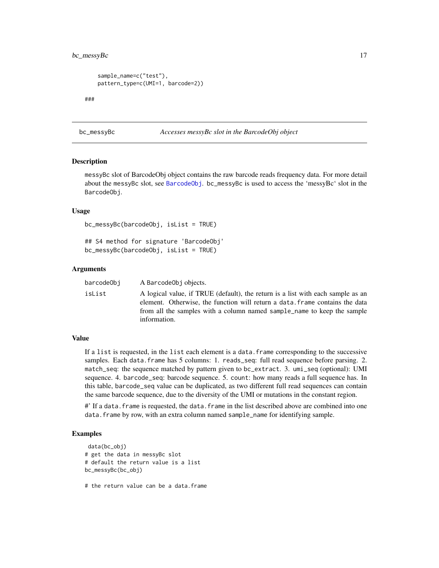# <span id="page-16-0"></span>bc\_messyBc 17

```
sample_name=c("test"),
pattern_type=c(UMI=1, barcode=2))
```
###

bc\_messyBc *Accesses messyBc slot in the BarcodeObj object*

# Description

messyBc slot of BarcodeObj object contains the raw barcode reads frequency data. For more detail about the messyBc slot, see [BarcodeObj](#page-1-1). bc\_messyBc is used to access the 'messyBc' slot in the BarcodeObj.

#### Usage

bc\_messyBc(barcodeObj, isList = TRUE)

## S4 method for signature 'BarcodeObj' bc\_messyBc(barcodeObj, isList = TRUE)

#### Arguments

| barcodeObi | A Barcode0b i objects.                                                                                                                                                                                                                                     |
|------------|------------------------------------------------------------------------------------------------------------------------------------------------------------------------------------------------------------------------------------------------------------|
| isList     | A logical value, if TRUE (default), the return is a list with each sample as an<br>element. Otherwise, the function will return a data, frame contains the data<br>from all the samples with a column named sample_name to keep the sample<br>information. |

# Value

If a list is requested, in the list each element is a data.frame corresponding to the successive samples. Each data.frame has 5 columns: 1. reads\_seq: full read sequence before parsing. 2. match\_seq: the sequence matched by pattern given to bc\_extract. 3. umi\_seq (optional): UMI sequence. 4. barcode\_seq: barcode sequence. 5. count: how many reads a full sequence has. In this table, barcode\_seq value can be duplicated, as two different full read sequences can contain the same barcode sequence, due to the diversity of the UMI or mutations in the constant region.

#' If a data. frame is requested, the data. frame in the list described above are combined into one data. frame by row, with an extra column named sample\_name for identifying sample.

#### Examples

```
data(bc_obj)
# get the data in messyBc slot
# default the return value is a list
bc_messyBc(bc_obj)
```
# the return value can be a data.frame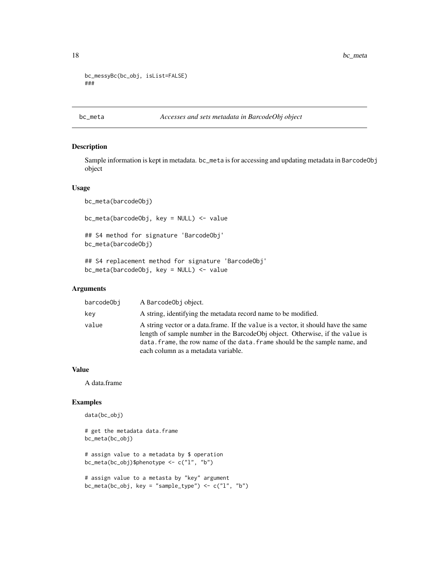```
bc_messyBc(bc_obj, isList=FALSE)
###
```
# bc\_meta *Accesses and sets metadata in BarcodeObj object*

# Description

Sample information is kept in metadata. bc\_meta is for accessing and updating metadata in BarcodeObj object

#### Usage

bc\_meta(barcodeObj)

bc\_meta(barcodeObj, key = NULL) <- value

## S4 method for signature 'BarcodeObj' bc\_meta(barcodeObj)

## S4 replacement method for signature 'BarcodeObj' bc\_meta(barcodeObj, key = NULL) <- value

# Arguments

| barcodeObi | A Barcode0bj object.                                                                                                                                                                                                                                                                     |
|------------|------------------------------------------------------------------------------------------------------------------------------------------------------------------------------------------------------------------------------------------------------------------------------------------|
| key        | A string, identifying the metadata record name to be modified.                                                                                                                                                                                                                           |
| value      | A string vector or a data frame. If the value is a vector, it should have the same<br>length of sample number in the BarcodeObj object. Otherwise, if the value is<br>data. frame, the row name of the data. frame should be the sample name, and<br>each column as a metadata variable. |

#### Value

A data.frame

# Examples

```
data(bc_obj)
```
# get the metadata data.frame bc\_meta(bc\_obj)

# assign value to a metadata by \$ operation bc\_meta(bc\_obj)\$phenotype <- c("l", "b")

```
# assign value to a metasta by "key" argument
bc_meta(bc_obj, key = "sample_type") <- c("l", "b")
```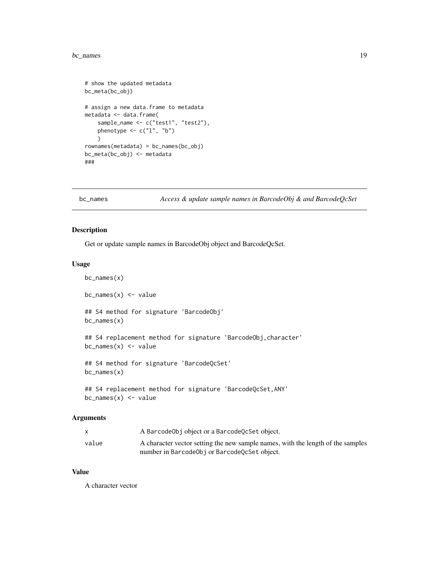#### <span id="page-18-0"></span>bc\_names 19

```
# show the updated metadata
bc_meta(bc_obj)
# assign a new data.frame to metadata
metadata <- data.frame(
    sample_name <- c("test1", "test2"),
    phenotype \leq c("l", "b")
    \lambdarownames(metadata) = bc_names(bc_obj)
bc_meta(bc_obj) <- metadata
###
```
bc\_names *Access & update sample names in BarcodeObj & and BarcodeQcSet*

# Description

Get or update sample names in BarcodeObj object and BarcodeQcSet.

# Usage

```
bc_names(x)
bc\_names(x) <- value
## S4 method for signature 'BarcodeObj'
bc_names(x)
## S4 replacement method for signature 'BarcodeObj, character'
bc\_names(x) <- value
## S4 method for signature 'BarcodeQcSet'
bc_names(x)
## S4 replacement method for signature 'BarcodeQcSet,ANY'
bc\_names(x) <- value
```
#### Arguments

|       | A BarcodeObj object or a BarcodeQcSet object.                                   |
|-------|---------------------------------------------------------------------------------|
| value | A character vector setting the new sample names, with the length of the samples |
|       | number in BarcodeObj or BarcodeQcSet object.                                    |

# Value

A character vector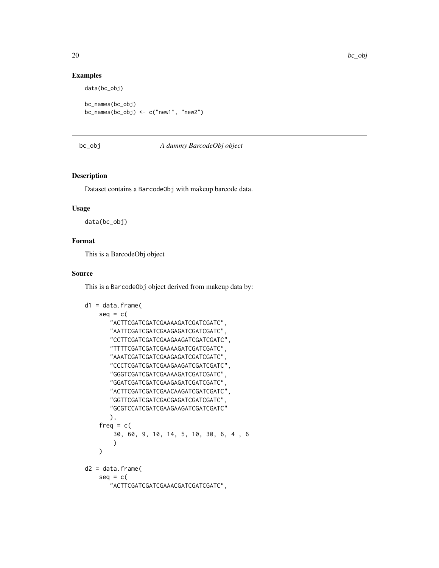# Examples

data(bc\_obj)

bc\_names(bc\_obj) bc\_names(bc\_obj) <- c("new1", "new2")

#### bc\_obj *A dummy BarcodeObj object*

#### Description

Dataset contains a BarcodeObj with makeup barcode data.

# Usage

data(bc\_obj)

# Format

This is a BarcodeObj object

#### Source

This is a BarcodeObj object derived from makeup data by:

```
d1 = data.frame(seq = c("ACTTCGATCGATCGAAAAGATCGATCGATC",
       "AATTCGATCGATCGAAGAGATCGATCGATC",
       "CCTTCGATCGATCGAAGAAGATCGATCGATC",
       "TTTTCGATCGATCGAAAAGATCGATCGATC",
       "AAATCGATCGATCGAAGAGATCGATCGATC",
       "CCCTCGATCGATCGAAGAAGATCGATCGATC",
       "GGGTCGATCGATCGAAAAGATCGATCGATC",
       "GGATCGATCGATCGAAGAGATCGATCGATC",
       "ACTTCGATCGATCGAACAAGATCGATCGATC",
       "GGTTCGATCGATCGACGAGATCGATCGATC",
       "GCGTCCATCGATCGAAGAAGATCGATCGATC"
       ),
    freq = c(30, 60, 9, 10, 14, 5, 10, 30, 6, 4 , 6
        )
    \lambdad2 = data.frame(seq = c("ACTTCGATCGATCGAAACGATCGATCGATC",
```
<span id="page-19-0"></span>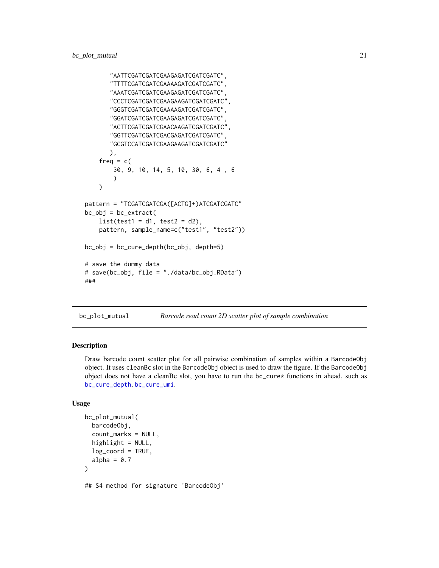```
"AATTCGATCGATCGAAGAGATCGATCGATC",
       "TTTTCGATCGATCGAAAAGATCGATCGATC",
       "AAATCGATCGATCGAAGAGATCGATCGATC",
       "CCCTCGATCGATCGAAGAAGATCGATCGATC",
       "GGGTCGATCGATCGAAAAGATCGATCGATC",
       "GGATCGATCGATCGAAGAGATCGATCGATC",
       "ACTTCGATCGATCGAACAAGATCGATCGATC",
       "GGTTCGATCGATCGACGAGATCGATCGATC",
       "GCGTCCATCGATCGAAGAAGATCGATCGATC"
       ),
    freq = c(30, 9, 10, 14, 5, 10, 30, 6, 4 , 6
        )
    )
pattern = "TCGATCGATCGA([ACTG]+)ATCGATCGATC"
bc\_obj = bc\_extract(list(test1 = d1, test2 = d2),pattern, sample_name=c("test1", "test2"))
bc_obj = bc_cure_depth(bc_obj, depth=5)
# save the dummy data
# save(bc_obj, file = "./data/bc_obj.RData")
###
```
bc\_plot\_mutual *Barcode read count 2D scatter plot of sample combination*

#### Description

Draw barcode count scatter plot for all pairwise combination of samples within a BarcodeObj object. It uses cleanBc slot in the BarcodeObj object is used to draw the figure. If the BarcodeObj object does not have a cleanBc slot, you have to run the bc\_cure\* functions in ahead, such as [bc\\_cure\\_depth](#page-9-1), [bc\\_cure\\_umi](#page-10-1).

#### Usage

```
bc_plot_mutual(
  barcodeObj,
  count_marks = NULL,
  highlight = NULL,log_coord = TRUE,
  alpha = 0.7)
```
## S4 method for signature 'BarcodeObj'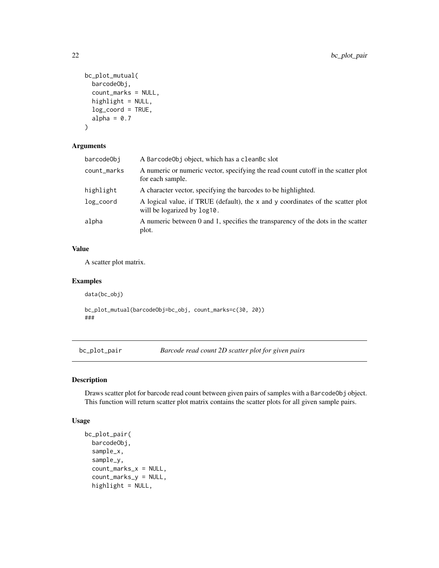```
bc_plot_mutual(
  barcodeObj,
  count_marks = NULL,
 highlight = NULL,
  log_coord = TRUE,
  alpha = 0.7)
```
# Arguments

| barcode0bj  | A Barcode Obj object, which has a clean Bc slot                                                                |
|-------------|----------------------------------------------------------------------------------------------------------------|
| count_marks | A numeric or numeric vector, specifying the read count cutoff in the scatter plot<br>for each sample.          |
| highlight   | A character vector, specifying the barcodes to be highlighted.                                                 |
| $log$ coord | A logical value, if TRUE (default), the x and y coordinates of the scatter plot<br>will be logarized by log10. |
| alpha       | A numeric between 0 and 1, specifies the transparency of the dots in the scatter<br>plot.                      |

# Value

A scatter plot matrix.

#### Examples

data(bc\_obj)

bc\_plot\_mutual(barcodeObj=bc\_obj, count\_marks=c(30, 20)) ###

bc\_plot\_pair *Barcode read count 2D scatter plot for given pairs*

# Description

Draws scatter plot for barcode read count between given pairs of samples with a BarcodeObj object. This function will return scatter plot matrix contains the scatter plots for all given sample pairs.

#### Usage

```
bc_plot_pair(
  barcodeObj,
  sample_x,
  sample_y,
  count_marks_x = NULL,
  count_marks_y = NULL,
  highlight = NULL,
```
<span id="page-21-0"></span>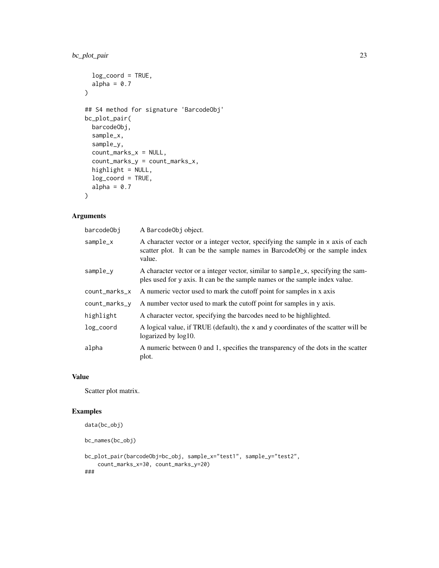# bc\_plot\_pair 23

```
log_coord = TRUE,
 alpha = 0.7)
## S4 method for signature 'BarcodeObj'
bc_plot_pair(
 barcodeObj,
  sample_x,
  sample_y,
  count_marks_x = NULL,
  count_marks_y = count_marks_x,
 highlight = NULL,
 log_coord = TRUE,
 alpha = 0.7\mathcal{L}
```
# Arguments

| barcodeObj    | A Barcode0bj object.                                                                                                                                                    |
|---------------|-------------------------------------------------------------------------------------------------------------------------------------------------------------------------|
| sample_x      | A character vector or a integer vector, specifying the sample in x axis of each<br>scatter plot. It can be the sample names in BarcodeObj or the sample index<br>value. |
| sample_v      | A character vector or a integer vector, similar to sample_x, specifying the sam-<br>ples used for y axis. It can be the sample names or the sample index value.         |
| count_marks_x | A numeric vector used to mark the cutoff point for samples in x axis                                                                                                    |
| count_marks_y | A number vector used to mark the cutoff point for samples in y axis.                                                                                                    |
| highlight     | A character vector, specifying the barcodes need to be highlighted.                                                                                                     |
| log_coord     | A logical value, if TRUE (default), the x and y coordinates of the scatter will be<br>logarized by log10.                                                               |
| alpha         | A numeric between 0 and 1, specifies the transparency of the dots in the scatter<br>plot.                                                                               |

#### Value

Scatter plot matrix.

# Examples

```
data(bc_obj)
bc_names(bc_obj)
bc_plot_pair(barcodeObj=bc_obj, sample_x="test1", sample_y="test2",
    count_marks_x=30, count_marks_y=20)
###
```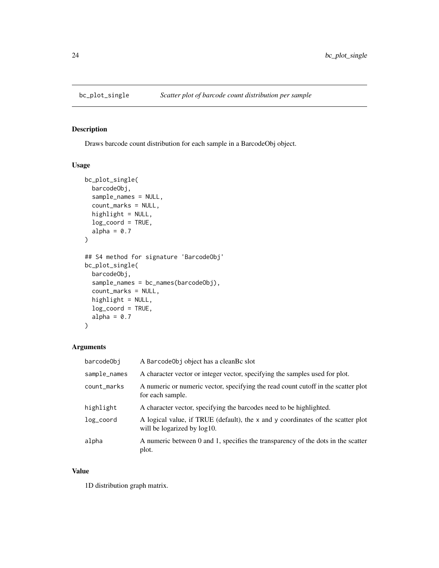<span id="page-23-0"></span>

# Description

Draws barcode count distribution for each sample in a BarcodeObj object.

# Usage

```
bc_plot_single(
 barcodeObj,
  sample_names = NULL,
  count_marks = NULL,
  highlight = NULL,
  log_coord = TRUE,
  alpha = 0.7)
## S4 method for signature 'BarcodeObj'
bc_plot_single(
 barcodeObj,
  sample_names = bc_names(barcodeObj),
  count_marks = NULL,
  highlight = NULL,
  log_coord = TRUE,
  alpha = 0.7)
```
# Arguments

| barcode0bj      | A Barcode Obj object has a clean B cslot                                                                       |
|-----------------|----------------------------------------------------------------------------------------------------------------|
| sample_names    | A character vector or integer vector, specifying the samples used for plot.                                    |
| count_marks     | A numeric or numeric vector, specifying the read count cutoff in the scatter plot<br>for each sample.          |
| highlight       | A character vector, specifying the barcodes need to be highlighted.                                            |
| $log$ _ $coord$ | A logical value, if TRUE (default), the x and y coordinates of the scatter plot<br>will be logarized by log10. |
| alpha           | A numeric between 0 and 1, specifies the transparency of the dots in the scatter<br>plot.                      |

# Value

1D distribution graph matrix.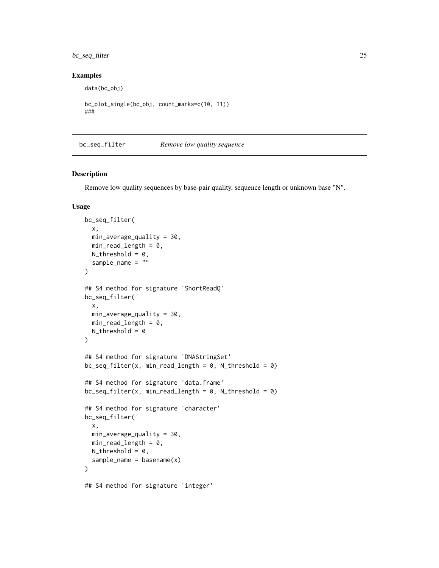# <span id="page-24-0"></span>bc\_seq\_filter 25

# Examples

data(bc\_obj)

```
bc_plot_single(bc_obj, count_marks=c(10, 11))
###
```
bc\_seq\_filter *Remove low quality sequence*

# Description

Remove low quality sequences by base-pair quality, sequence length or unknown base "N".

#### Usage

```
bc_seq_filter(
  x,
 min_average_quality = 30,
 min\_read\_length = 0,
 N_{\text{threshold}} = 0,
  sample_name = ""
)
## S4 method for signature 'ShortReadQ'
bc_seq_filter(
 x,
 min_average_quality = 30,
 min\_read\_length = 0,
 N_{\text{L}}threshold = 0
)
## S4 method for signature 'DNAStringSet'
bc\_seq\_filter(x, min\_read\_length = 0, N\_threshold = 0)## S4 method for signature 'data.frame'
bc_seq_filter(x, min_read_length = 0, N_threshold = 0)
## S4 method for signature 'character'
bc_seq_filter(
  x,
 min_average_quality = 30,
 min\_read\_length = 0,
 N_{\text{threshold}} = 0,
  sample_name = baseline(x))
## S4 method for signature 'integer'
```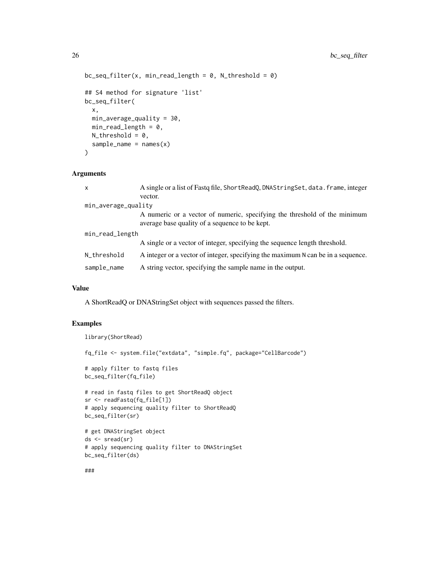```
bc_seq_filter(x, min_read_length = 0, N_threshold = 0)
## S4 method for signature 'list'
bc_seq_filter(
  x,
 min_average_quality = 30,
 min\_read\_length = 0,
 N_{\text{-}}threshold = 0,
  sample_name = names(x))
```
# Arguments

| x                   | A single or a list of Fastq file, ShortReadQ, DNAStringSet, data. frame, integer                                            |
|---------------------|-----------------------------------------------------------------------------------------------------------------------------|
|                     | vector.                                                                                                                     |
| min_average_quality |                                                                                                                             |
|                     | A numeric or a vector of numeric, specifying the threshold of the minimum<br>average base quality of a sequence to be kept. |
| min_read_length     |                                                                                                                             |
|                     | A single or a vector of integer, specifying the sequence length threshold.                                                  |
| N_threshold         | A integer or a vector of integer, specifying the maximum N can be in a sequence.                                            |
| sample_name         | A string vector, specifying the sample name in the output.                                                                  |

# Value

A ShortReadQ or DNAStringSet object with sequences passed the filters.

# Examples

library(ShortRead)

fq\_file <- system.file("extdata", "simple.fq", package="CellBarcode")

```
# apply filter to fastq files
bc_seq_filter(fq_file)
```

```
# read in fastq files to get ShortReadQ object
sr <- readFastq(fq_file[1])
# apply sequencing quality filter to ShortReadQ
bc_seq_filter(sr)
```

```
# get DNAStringSet object
ds <- sread(sr)
# apply sequencing quality filter to DNAStringSet
bc_seq_filter(ds)
```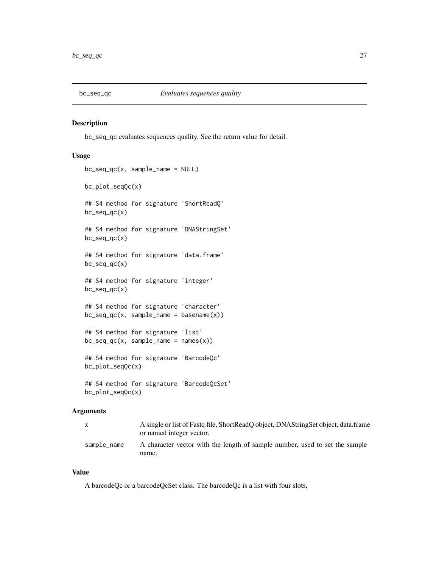<span id="page-26-0"></span>

#### Description

bc\_seq\_qc evaluates sequences quality. See the return value for detail.

#### Usage

```
bc_seq_qc(x, sample_name = NULL)
bc_plot_seqQc(x)
## S4 method for signature 'ShortReadQ'
bc_seq_qc(x)
## S4 method for signature 'DNAStringSet'
bc\_seq\_qc(x)## S4 method for signature 'data.frame'
bc_seq_qc(x)
## S4 method for signature 'integer'
bc\_seq\_qc(x)## S4 method for signature 'character'
bc_seq_qc(x, sample_name = basename(x))
## S4 method for signature 'list'
bc_seq_qc(x, sample_name = names(x))## S4 method for signature 'BarcodeQc'
bc_plot_seqQc(x)
## S4 method for signature 'BarcodeQcSet'
bc_plot_seqQc(x)
```
# Arguments

| $\mathsf{x}$ | A single or list of Fastq file, ShortReadO object, DNAStringSet object, data.frame<br>or named integer vector. |
|--------------|----------------------------------------------------------------------------------------------------------------|
| sample name  | A character vector with the length of sample number, used to set the sample<br>name.                           |

# Value

A barcodeQc or a barcodeQcSet class. The barcodeQc is a list with four slots,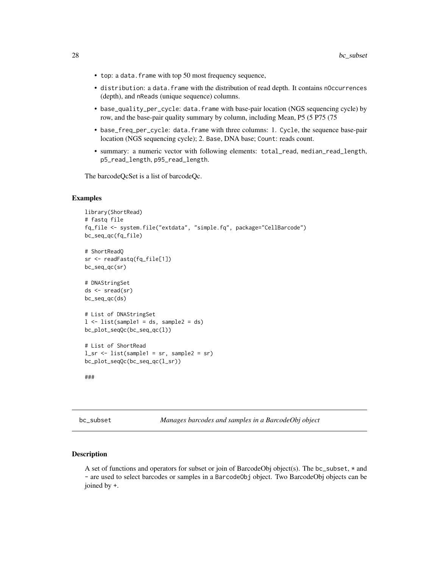- <span id="page-27-0"></span>• top: a data. frame with top 50 most frequency sequence,
- distribution: a data.frame with the distribution of read depth. It contains nOccurrences (depth), and nReads (unique sequence) columns.
- base\_quality\_per\_cycle: data.frame with base-pair location (NGS sequencing cycle) by row, and the base-pair quality summary by column, including Mean, P5 (5 P75 (75
- base\_freq\_per\_cycle: data.frame with three columns: 1. Cycle, the sequence base-pair location (NGS sequencing cycle); 2. Base, DNA base; Count: reads count.
- summary: a numeric vector with following elements: total\_read, median\_read\_length, p5\_read\_length, p95\_read\_length.

The barcodeQcSet is a list of barcodeQc.

#### Examples

```
library(ShortRead)
# fastq file
fq_file <- system.file("extdata", "simple.fq", package="CellBarcode")
bc_seq_qc(fq_file)
# ShortReadQ
sr <- readFastq(fq_file[1])
bc_seq_qc(sr)
# DNAStringSet
ds <- sread(sr)
bc_seq_qc(ds)
# List of DNAStringSet
1 \le - list(sample1 = ds, sample2 = ds)
bc_plot_seqQc(bc_seq_qc(l))
# List of ShortRead
l\_sr \leftarrow list(sample1 = sr, sample2 = sr)bc_plot_seqQc(bc_seq_qc(l_sr))
###
```
bc\_subset *Manages barcodes and samples in a BarcodeObj object*

#### Description

A set of functions and operators for subset or join of BarcodeObj object(s). The bc\_subset, \* and - are used to select barcodes or samples in a BarcodeObj object. Two BarcodeObj objects can be joined by +.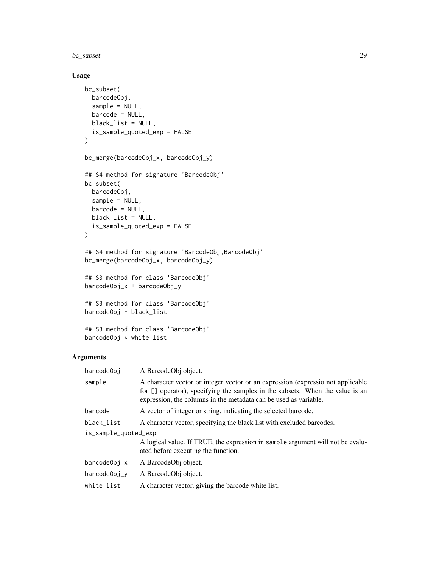#### bc\_subset 29

# Usage

```
bc_subset(
 barcodeObj,
  sample = NULL,
 barcode = NULL,
 black_list = NULL,
  is_sample_quoted_exp = FALSE
\lambdabc_merge(barcodeObj_x, barcodeObj_y)
## S4 method for signature 'BarcodeObj'
bc_subset(
 barcodeObj,
  sample = NULL,
 barcode = NULL,
 black_list = NULL,
  is_sample_quoted_exp = FALSE
\mathcal{L}## S4 method for signature 'BarcodeObj,BarcodeObj'
bc_merge(barcodeObj_x, barcodeObj_y)
## S3 method for class 'BarcodeObj'
barcodeObj_x + barcodeObj_y
## S3 method for class 'BarcodeObj'
barcodeObj - black_list
## S3 method for class 'BarcodeObj'
barcodeObj * white_list
```
# Arguments

| barcodeObi           | A BarcodeObj object.                                                                                                                                                                                                                 |
|----------------------|--------------------------------------------------------------------------------------------------------------------------------------------------------------------------------------------------------------------------------------|
| sample               | A character vector or integer vector or an expression (expression ot applicable<br>for [] operator), specifying the samples in the subsets. When the value is an<br>expression, the columns in the metadata can be used as variable. |
| barcode              | A vector of integer or string, indicating the selected barcode.                                                                                                                                                                      |
| black_list           | A character vector, specifying the black list with excluded barcodes.                                                                                                                                                                |
| is_sample_quoted_exp |                                                                                                                                                                                                                                      |
|                      | A logical value. If TRUE, the expression in sample argument will not be evalu-<br>ated before executing the function.                                                                                                                |
| barcodeObi_x         | A BarcodeObj object.                                                                                                                                                                                                                 |
| barcodeObj_y         | A BarcodeObj object.                                                                                                                                                                                                                 |
| white_list           | A character vector, giving the barcode white list.                                                                                                                                                                                   |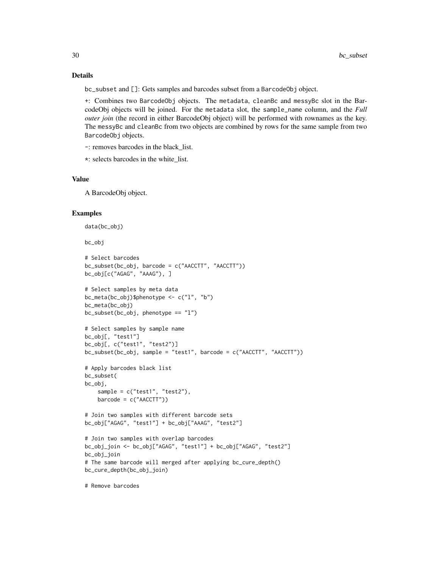# Details

bc\_subset and []: Gets samples and barcodes subset from a BarcodeObj object.

+: Combines two BarcodeObj objects. The metadata, cleanBc and messyBc slot in the BarcodeObj objects will be joined. For the metadata slot, the sample\_name column, and the *Full outer join* (the record in either BarcodeObj object) will be performed with rownames as the key. The messyBc and cleanBc from two objects are combined by rows for the same sample from two BarcodeObj objects.

-: removes barcodes in the black\_list.

\*: selects barcodes in the white\_list.

#### Value

A BarcodeObj object.

#### Examples

```
data(bc_obj)
bc_obj
# Select barcodes
bc_subset(bc_obj, barcode = c("AACCTT", "AACCTT"))
bc_obj[c("AGAG", "AAAG"), ]
# Select samples by meta data
bc_meta(bc_obj)$phenotype \leq c("l", "b")
bc_meta(bc_obj)
bc\_subset(bc\_obj, phenotype == "l")# Select samples by sample name
bc_obj[, "test1"]
bc_obj[, c("test1", "test2")]
bc_subset(bc_obj, sample = "test1", barcode = c("AACCTT", "AACCTT"))
# Apply barcodes black list
bc_subset(
bc_obj,
    sample = c("test1", "test2"),
    barcode = c('AACCTT''))# Join two samples with different barcode sets
bc_obj["AGAG", "test1"] + bc_obj["AAAG", "test2"]
# Join two samples with overlap barcodes
bc_obj_join <- bc_obj["AGAG", "test1"] + bc_obj["AGAG", "test2"]
bc_obj_join
# The same barcode will merged after applying bc_cure_depth()
bc_cure_depth(bc_obj_join)
```
# Remove barcodes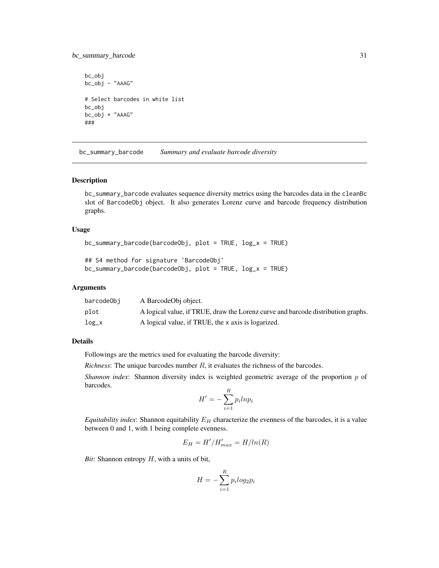# <span id="page-30-0"></span>bc\_summary\_barcode 31

```
bc_obj
bc_obj - "AAAG"
# Select barcodes in white list
bc_obj
bc_obj * "AAAG"
###
```
bc\_summary\_barcode *Summary and evaluate barcode diversity*

#### Description

bc\_summary\_barcode evaluates sequence diversity metrics using the barcodes data in the cleanBc slot of BarcodeObj object. It also generates Lorenz curve and barcode frequency distribution graphs.

#### Usage

```
bc_summary_barcode(barcodeObj, plot = TRUE, log_x = TRUE)
```

```
## S4 method for signature 'BarcodeObj'
bc_summary_barcode(barcodeObj, plot = TRUE, log_x = TRUE)
```
#### Arguments

| barcode0bj | A BarcodeObj object.                                                             |
|------------|----------------------------------------------------------------------------------|
| plot       | A logical value, if TRUE, draw the Lorenz curve and barcode distribution graphs. |
| $log_x$    | A logical value, if TRUE, the x axis is logarized.                               |

# Details

Followings are the metrics used for evaluating the barcode diversity:

*Richness*: The unique barcodes number R, it evaluates the richness of the barcodes.

*Shannon index*: Shannon diversity index is weighted geometric average of the proportion p of barcodes. R

$$
H' = -\sum_{i=1}^{R} p_i l n p_i
$$

*Equitability index:* Shannon equitability  $E_H$  characterize the evenness of the barcodes, it is a value between 0 and 1, with 1 being complete evenness.

$$
E_H = H'/H'_{max} = H/ln(R)
$$

*Bit*: Shannon entropy H, with a units of bit,

$$
H = -\sum_{i=1}^{R} p_i log_2 p_i
$$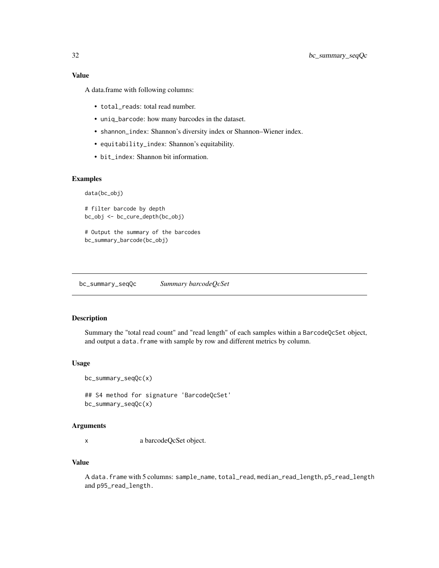# <span id="page-31-0"></span>Value

A data.frame with following columns:

- total\_reads: total read number.
- uniq\_barcode: how many barcodes in the dataset.
- shannon\_index: Shannon's diversity index or Shannon–Wiener index.
- equitability\_index: Shannon's equitability.
- bit\_index: Shannon bit information.

# Examples

data(bc\_obj)

```
# filter barcode by depth
bc_obj <- bc_cure_depth(bc_obj)
```

```
# Output the summary of the barcodes
bc_summary_barcode(bc_obj)
```
bc\_summary\_seqQc *Summary barcodeQcSet*

# Description

Summary the "total read count" and "read length" of each samples within a BarcodeQcSet object, and output a data. frame with sample by row and different metrics by column.

#### Usage

```
bc_summary_seqQc(x)
```
## S4 method for signature 'BarcodeQcSet' bc\_summary\_seqQc(x)

#### Arguments

x a barcodeQcSet object.

# Value

A data.frame with 5 columns: sample\_name, total\_read, median\_read\_length, p5\_read\_length and p95\_read\_length.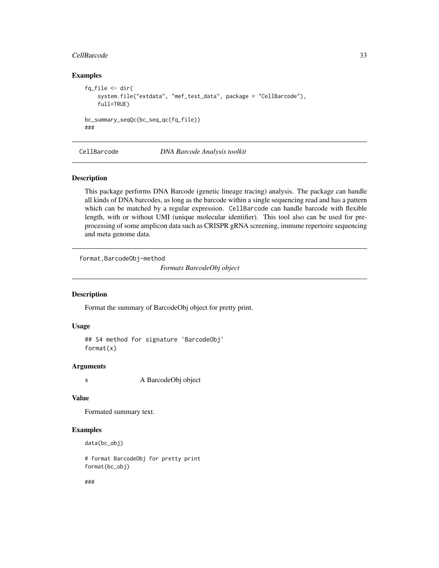#### <span id="page-32-0"></span>CellBarcode 33

# Examples

```
fq_file <- dir(
    system.file("extdata", "mef_test_data", package = "CellBarcode"),
    full=TRUE)
bc_summary_seqQc(bc_seq_qc(fq_file))
###
```
CellBarcode *DNA Barcode Analysis toolkit*

# Description

This package performs DNA Barcode (genetic lineage tracing) analysis. The package can handle all kinds of DNA barcodes, as long as the barcode within a single sequencing read and has a pattern which can be matched by a regular expression. CellBarcode can handle barcode with flexible length, with or without UMI (unique molecular identifier). This tool also can be used for preprocessing of some amplicon data such as CRISPR gRNA screening, immune repertoire sequencing and meta genome data.

format,BarcodeObj-method

*Formats BarcodeObj object*

#### Description

Format the summary of BarcodeObj object for pretty print.

#### Usage

```
## S4 method for signature 'BarcodeObj'
format(x)
```
# Arguments

x A BarcodeObj object

# Value

Formated summary text.

# Examples

```
data(bc_obj)
```
# format BarcodeObj for pretty print format(bc\_obj)

###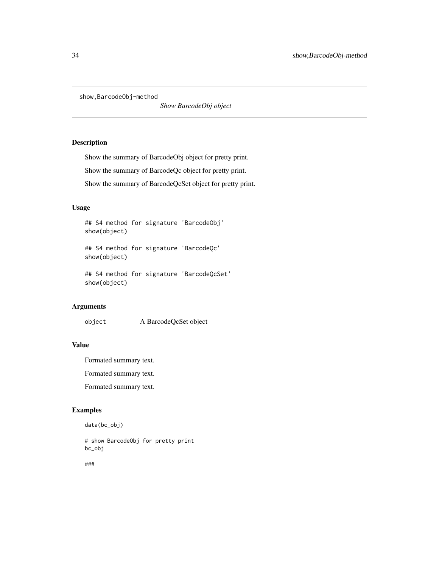<span id="page-33-0"></span>show,BarcodeObj-method

*Show BarcodeObj object*

# Description

Show the summary of BarcodeObj object for pretty print.

Show the summary of BarcodeQc object for pretty print.

Show the summary of BarcodeQcSet object for pretty print.

# Usage

## S4 method for signature 'BarcodeObj' show(object)

## S4 method for signature 'BarcodeQc' show(object)

## S4 method for signature 'BarcodeQcSet' show(object)

#### Arguments

object A BarcodeQcSet object

# Value

Formated summary text.

Formated summary text.

Formated summary text.

# Examples

data(bc\_obj)

# show BarcodeObj for pretty print bc\_obj

###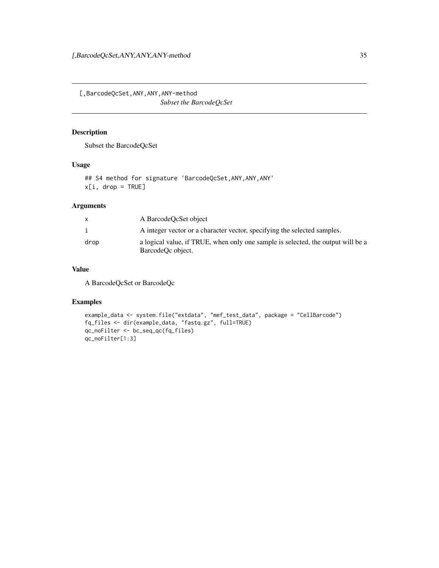<span id="page-34-0"></span>[,BarcodeQcSet,ANY,ANY,ANY-method *Subset the BarcodeQcSet*

# Description

Subset the BarcodeQcSet

# Usage

## S4 method for signature 'BarcodeQcSet,ANY,ANY,ANY'  $x[i, drop = TRUE]$ 

# Arguments

|      | A BarcodeOcSet object                                                                                 |
|------|-------------------------------------------------------------------------------------------------------|
|      | A integer vector or a character vector, specifying the selected samples.                              |
| drop | a logical value, if TRUE, when only one sample is selected, the output will be a<br>BarcodeOc object. |

# Value

A BarcodeQcSet or BarcodeQc

# Examples

```
example_data <- system.file("extdata", "mef_test_data", package = "CellBarcode")
fq_files <- dir(example_data, "fastq.gz", full=TRUE)
qc_noFilter <- bc_seq_qc(fq_files)
qc_noFilter[1:3]
```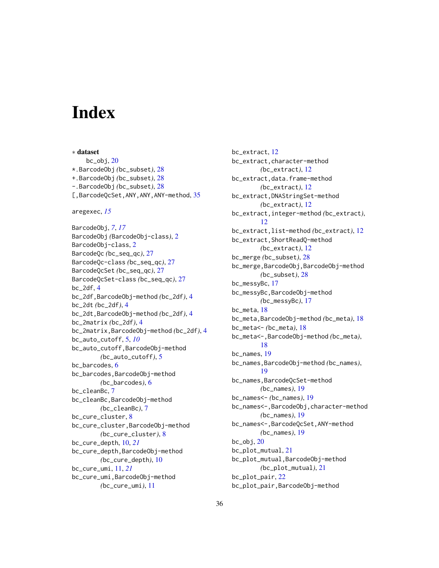# <span id="page-35-0"></span>**Index**

∗ dataset  $bc_$ obj,  $20$ \*.BarcodeObj *(*bc\_subset*)*, [28](#page-27-0) +.BarcodeObj *(*bc\_subset*)*, [28](#page-27-0) -.BarcodeObj *(*bc\_subset*)*, [28](#page-27-0) [, BarcodeQcSet, ANY, ANY, ANY-method, [35](#page-34-0) aregexec, *[15](#page-14-0)* BarcodeObj, *[7](#page-6-0)*, *[17](#page-16-0)* BarcodeObj *(*BarcodeObj-class*)*, [2](#page-1-0) BarcodeObj-class, [2](#page-1-0) BarcodeQc *(*bc\_seq\_qc*)*, [27](#page-26-0) BarcodeQc-class *(*bc\_seq\_qc*)*, [27](#page-26-0) BarcodeQcSet *(*bc\_seq\_qc*)*, [27](#page-26-0) BarcodeQcSet-class *(*bc\_seq\_qc*)*, [27](#page-26-0)  $bc_2$ df, [4](#page-3-0) bc\_2df,BarcodeObj-method *(*bc\_2df*)*, [4](#page-3-0) bc\_2dt *(*bc\_2df*)*, [4](#page-3-0) bc\_2dt,BarcodeObj-method *(*bc\_2df*)*, [4](#page-3-0) bc\_2matrix *(*bc\_2df*)*, [4](#page-3-0) bc\_2matrix,BarcodeObj-method *(*bc\_2df*)*, [4](#page-3-0) bc\_auto\_cutoff, [5,](#page-4-0) *[10](#page-9-0)* bc\_auto\_cutoff,BarcodeObj-method *(*bc\_auto\_cutoff*)*, [5](#page-4-0) bc\_barcodes, [6](#page-5-0) bc\_barcodes,BarcodeObj-method *(*bc\_barcodes*)*, [6](#page-5-0) bc\_cleanBc, [7](#page-6-0) bc\_cleanBc,BarcodeObj-method *(*bc\_cleanBc*)*, [7](#page-6-0) bc\_cure\_cluster, [8](#page-7-0) bc\_cure\_cluster,BarcodeObj-method *(*bc\_cure\_cluster*)*, [8](#page-7-0) bc\_cure\_depth, [10,](#page-9-0) *[21](#page-20-0)* bc\_cure\_depth,BarcodeObj-method *(*bc\_cure\_depth*)*, [10](#page-9-0) bc\_cure\_umi, [11,](#page-10-0) *[21](#page-20-0)* bc\_cure\_umi,BarcodeObj-method *(*bc\_cure\_umi*)*, [11](#page-10-0)

bc\_extract, [12](#page-11-0) bc\_extract,character-method *(*bc\_extract*)*, [12](#page-11-0) bc\_extract,data.frame-method *(*bc\_extract*)*, [12](#page-11-0) bc\_extract,DNAStringSet-method *(*bc\_extract*)*, [12](#page-11-0) bc\_extract,integer-method *(*bc\_extract*)*, [12](#page-11-0) bc\_extract,list-method *(*bc\_extract*)*, [12](#page-11-0) bc\_extract,ShortReadQ-method *(*bc\_extract*)*, [12](#page-11-0) bc\_merge *(*bc\_subset*)*, [28](#page-27-0) bc\_merge,BarcodeObj,BarcodeObj-method *(*bc\_subset*)*, [28](#page-27-0) bc\_messyBc, [17](#page-16-0) bc\_messyBc,BarcodeObj-method *(*bc\_messyBc*)*, [17](#page-16-0) bc\_meta, [18](#page-17-0) bc\_meta,BarcodeObj-method *(*bc\_meta*)*, [18](#page-17-0) bc\_meta<- *(*bc\_meta*)*, [18](#page-17-0) bc\_meta<-,BarcodeObj-method *(*bc\_meta*)*, [18](#page-17-0) bc\_names, [19](#page-18-0) bc\_names,BarcodeObj-method *(*bc\_names*)*, [19](#page-18-0) bc\_names,BarcodeQcSet-method *(*bc\_names*)*, [19](#page-18-0) bc\_names<- *(*bc\_names*)*, [19](#page-18-0) bc\_names<-,BarcodeObj,character-method *(*bc\_names*)*, [19](#page-18-0) bc\_names<-,BarcodeQcSet,ANY-method *(*bc\_names*)*, [19](#page-18-0) bc\_obj, [20](#page-19-0) bc\_plot\_mutual, [21](#page-20-0) bc\_plot\_mutual,BarcodeObj-method *(*bc\_plot\_mutual*)*, [21](#page-20-0) bc\_plot\_pair, [22](#page-21-0) bc\_plot\_pair,BarcodeObj-method